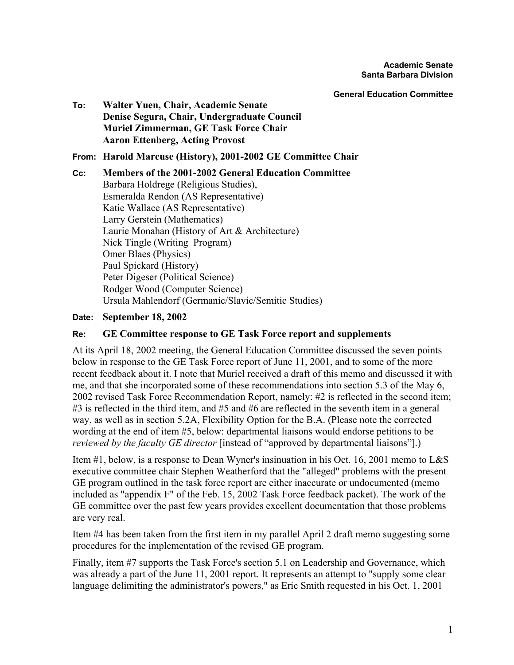**General Education Committee**

**To: Walter Yuen, Chair, Academic Senate Denise Segura, Chair, Undergraduate Council Muriel Zimmerman, GE Task Force Chair Aaron Ettenberg, Acting Provost**

**From: Harold Marcuse (History), 2001-2002 GE Committee Chair** 

**Cc: Members of the 2001-2002 General Education Committee** Barbara Holdrege (Religious Studies), Esmeralda Rendon (AS Representative) Katie Wallace (AS Representative) Larry Gerstein (Mathematics) Laurie Monahan (History of Art & Architecture) Nick Tingle (Writing Program) Omer Blaes (Physics) Paul Spickard (History) Peter Digeser (Political Science) Rodger Wood (Computer Science) Ursula Mahlendorf (Germanic/Slavic/Semitic Studies)

## **Date: September 18, 2002**

## **Re: GE Committee response to GE Task Force report and supplements**

At its April 18, 2002 meeting, the General Education Committee discussed the seven points below in response to the GE Task Force report of June 11, 2001, and to some of the more recent feedback about it. I note that Muriel received a draft of this memo and discussed it with me, and that she incorporated some of these recommendations into section 5.3 of the May 6, 2002 revised Task Force Recommendation Report, namely: #2 is reflected in the second item; #3 is reflected in the third item, and #5 and #6 are reflected in the seventh item in a general way, as well as in section 5.2A, Flexibility Option for the B.A. (Please note the corrected wording at the end of item #5, below: departmental liaisons would endorse petitions to be *reviewed by the faculty GE director* [instead of "approved by departmental liaisons"].)

Item #1, below, is a response to Dean Wyner's insinuation in his Oct. 16, 2001 memo to L&S executive committee chair Stephen Weatherford that the "alleged" problems with the present GE program outlined in the task force report are either inaccurate or undocumented (memo included as "appendix F" of the Feb. 15, 2002 Task Force feedback packet). The work of the GE committee over the past few years provides excellent documentation that those problems are very real.

Item #4 has been taken from the first item in my parallel April 2 draft memo suggesting some procedures for the implementation of the revised GE program.

Finally, item #7 supports the Task Force's section 5.1 on Leadership and Governance, which was already a part of the June 11, 2001 report. It represents an attempt to "supply some clear language delimiting the administrator's powers," as Eric Smith requested in his Oct. 1, 2001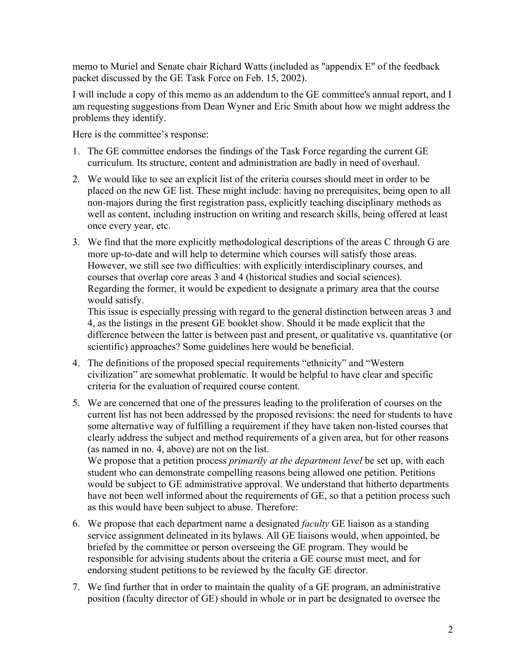memo to Muriel and Senate chair Richard Watts (included as "appendix E" of the feedback packet discussed by the GE Task Force on Feb. 15, 2002).

I will include a copy of this memo as an addendum to the GE committee's annual report, and I am requesting suggestions from Dean Wyner and Eric Smith about how we might address the problems they identify.

Here is the committee's response:

- 1. The GE committee endorses the findings of the Task Force regarding the current GE curriculum. Its structure, content and administration are badly in need of overhaul.
- 2. We would like to see an explicit list of the criteria courses should meet in order to be placed on the new GE list. These might include: having no prerequisites, being open to all non-majors during the first registration pass, explicitly teaching disciplinary methods as well as content, including instruction on writing and research skills, being offered at least once every year, etc.
- 3. We find that the more explicitly methodological descriptions of the areas C through G are more up-to-date and will help to determine which courses will satisfy those areas. However, we still see two difficulties: with explicitly interdisciplinary courses, and courses that overlap core areas 3 and 4 (historical studies and social sciences). Regarding the former, it would be expedient to designate a primary area that the course would satisfy.

This issue is especially pressing with regard to the general distinction between areas 3 and 4, as the listings in the present GE booklet show. Should it be made explicit that the difference between the latter is between past and present, or qualitative vs. quantitative (or scientific) approaches? Some guidelines here would be beneficial.

- 4. The definitions of the proposed special requirements "ethnicity" and "Western civilization" are somewhat problematic. It would be helpful to have clear and specific criteria for the evaluation of required course content.
- 5. We are concerned that one of the pressures leading to the proliferation of courses on the current list has not been addressed by the proposed revisions: the need for students to have some alternative way of fulfilling a requirement if they have taken non-listed courses that clearly address the subject and method requirements of a given area, but for other reasons (as named in no. 4, above) are not on the list.

We propose that a petition process *primarily at the department level* be set up, with each student who can demonstrate compelling reasons being allowed one petition. Petitions would be subject to GE administrative approval. We understand that hitherto departments have not been well informed about the requirements of GE, so that a petition process such as this would have been subject to abuse. Therefore:

- 6. We propose that each department name a designated *faculty* GE liaison as a standing service assignment delineated in its bylaws. All GE liaisons would, when appointed, be briefed by the committee or person overseeing the GE program. They would be responsible for advising students about the criteria a GE course must meet, and for endorsing student petitions to be reviewed by the faculty GE director.
- 7. We find further that in order to maintain the quality of a GE program, an administrative position (faculty director of GE) should in whole or in part be designated to oversee the